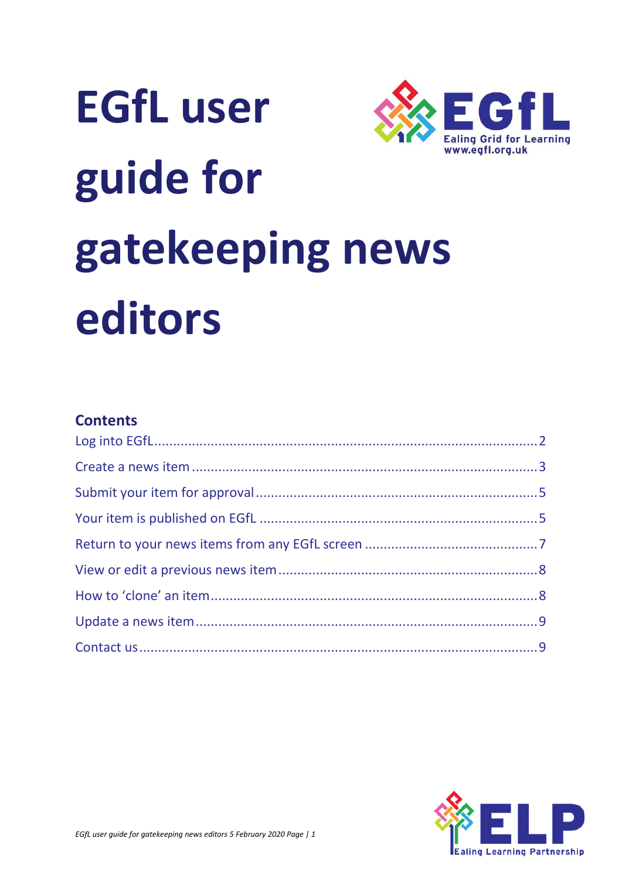

# **EGfL user** guide for gatekeeping news editors

#### **Contents**

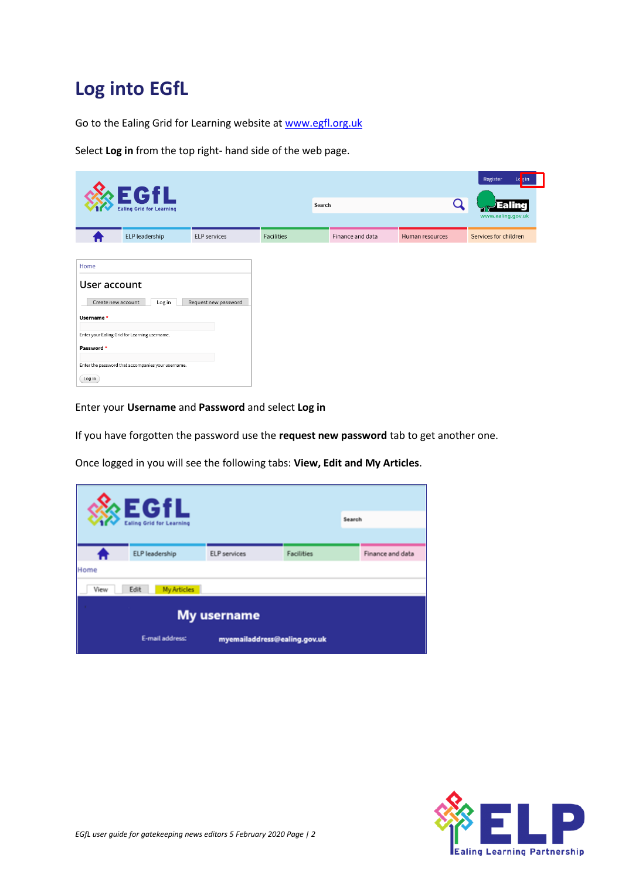## <span id="page-1-0"></span>**Log into EGfL**

Go to the Ealing Grid for Learning website at [www.egfl.org.uk](http://www.egfl.org.uk/)

Select **Log in** from the top right- hand side of the web page.

|                                                                                 | <b>EGfL</b><br><b>Ealing Grid for Learning</b>                                                                |                      |            | Search           |                 | Register<br>Lo tin<br>Ealing<br>www.ealing.gov.uk |
|---------------------------------------------------------------------------------|---------------------------------------------------------------------------------------------------------------|----------------------|------------|------------------|-----------------|---------------------------------------------------|
|                                                                                 | ELP leadership                                                                                                | ELP services         | Facilities | Finance and data | Human resources | Services for children                             |
| Home<br>User account<br>Create new account<br>Username*<br>Password *<br>Log in | Log in<br>Enter your Ealing Grid for Learning username.<br>Enter the password that accompanies your username. | Request new password |            |                  |                 |                                                   |

Enter your **Username** and **Password** and select **Log in** 

If you have forgotten the password use the **request new password** tab to get another one.

Once logged in you will see the following tabs: **View, Edit and My Articles**.

|      | $\epsilon$ EGfL                 |                              |                   |        |                  |
|------|---------------------------------|------------------------------|-------------------|--------|------------------|
|      | <b>Ealing Grid for Learning</b> |                              |                   | Search |                  |
|      |                                 |                              |                   |        |                  |
|      | ELP leadership                  | <b>ELP</b> services          | <b>Facilities</b> |        | Finance and data |
| Home |                                 |                              |                   |        |                  |
| View | Edit<br><b>My Articles</b>      |                              |                   |        |                  |
|      |                                 | <b>My username</b>           |                   |        |                  |
|      | E-mail address:                 | myemailaddress@ealing.gov.uk |                   |        |                  |

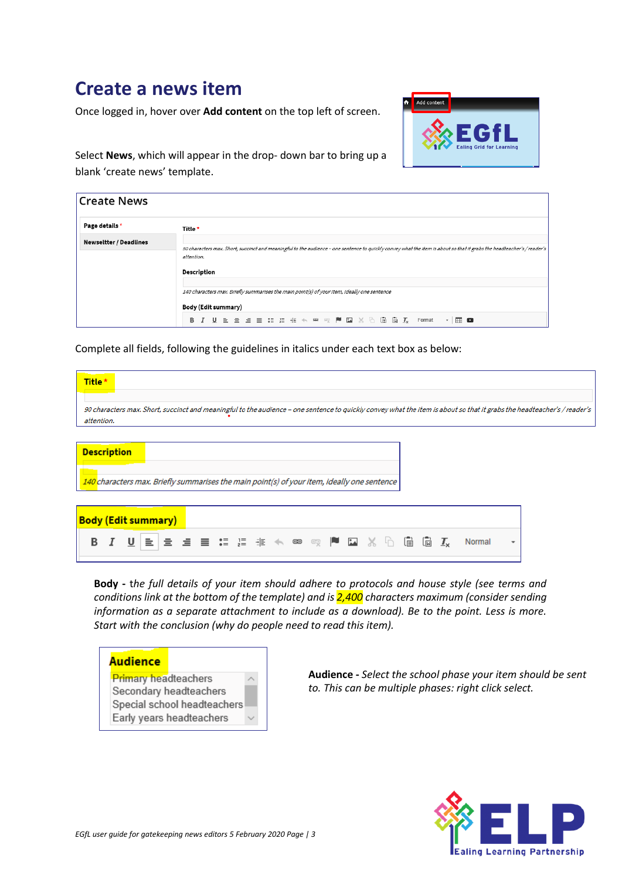### <span id="page-2-0"></span>**Create a news item**

Once logged in, hover over **Add content** on the top left of screen.



Select **News**, which will appear in the drop- down bar to bring up a blank 'create news' template.

| <b>Create News</b>            |                                                                                                                                                                                                                                                                                                                                   |
|-------------------------------|-----------------------------------------------------------------------------------------------------------------------------------------------------------------------------------------------------------------------------------------------------------------------------------------------------------------------------------|
| Page details *                | Title *                                                                                                                                                                                                                                                                                                                           |
| <b>Newseltter / Deadlines</b> | 90 characters max. Short, succinct and meaningful to the audience - one sentence to quickly convey what the item is about so that it grabs the headteacher's / reader's<br>attention.<br><b>Description</b><br>140 characters max. Briefly summarises the main point(s) of your item, ideally one sentence<br>Body (Edit summary) |
|                               |                                                                                                                                                                                                                                                                                                                                   |

Complete all fields, following the guidelines in italics under each text box as below:

| Title *                                                                                                           |  |  |  |  |  |  |  |  |   |                           |        |   |                                                                                                                                                                         |
|-------------------------------------------------------------------------------------------------------------------|--|--|--|--|--|--|--|--|---|---------------------------|--------|---|-------------------------------------------------------------------------------------------------------------------------------------------------------------------------|
| attention.                                                                                                        |  |  |  |  |  |  |  |  |   |                           |        |   | 90 characters max. Short, succinct and meaningful to the audience - one sentence to quickly convey what the item is about so that it grabs the headteacher's / reader's |
| <b>Description</b><br>140 characters max. Briefly summarises the main point(s) of your item, ideally one sentence |  |  |  |  |  |  |  |  |   |                           |        |   |                                                                                                                                                                         |
| <b>Body (Edit summary)</b><br>в                                                                                   |  |  |  |  |  |  |  |  | 画 | $\mathbf{I}_{\mathbf{x}}$ | Normal | ۰ |                                                                                                                                                                         |

**Body -** t*he full details of your item should adhere to protocols and house style (see terms and conditions link at the bottom of the template) and is 2,400 characters maximum (consider sending information as a separate attachment to include as a download). Be to the point. Less is more. Start with the conclusion (why do people need to read this item).*



**Audience -** *Select the school phase your item should be sent to. This can be multiple phases: right click select.*

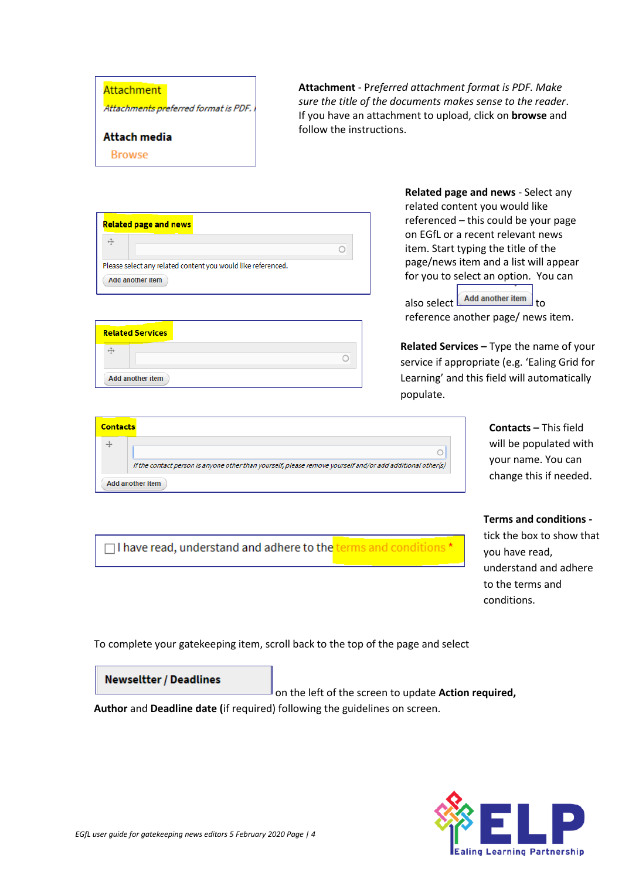#### **Attachment**

Attachments preferred format is PDF.

#### **Attach media**

**Browse** 

**Attachment** - P*referred attachment format is PDF. Make sure the title of the documents makes sense to the reader*. If you have an attachment to upload, click on **browse** and follow the instructions.

| <b>Related page and news</b>                                 |  |
|--------------------------------------------------------------|--|
|                                                              |  |
| Please select any related content you would like referenced. |  |
| <b>Add another item</b>                                      |  |

| <b>Related Services</b> |  |
|-------------------------|--|
|                         |  |
| Add another item        |  |

**Related page and news** - Select any related content you would like referenced – this could be your page on EGfL or a recent relevant news item. Start typing the title of the page/news item and a list will appear for you to select an option. You can

also select  $\boxed{\phantom{\text{Add another item}}$  to reference another page/ news item.

**Related Services –** Type the name of your service if appropriate (e.g. 'Ealing Grid for Learning' and this field will automatically populate.

| <b>Contacts</b> |                                                                                                            |
|-----------------|------------------------------------------------------------------------------------------------------------|
|                 |                                                                                                            |
|                 | If the contact person is anyone other than yourself, please remove yourself and/or add additional other(s) |
|                 | Add another item                                                                                           |

□ have read, understand and adhere to the terms and conditions \*

#### **Contacts –** This field will be populated with your name. You can change this if needed.

#### **Terms and conditions -**

tick the box to show that you have read, understand and adhere to the terms and conditions.

To complete your gatekeeping item, scroll back to the top of the page and select



on the left of the screen to update **Action required,** 

**Author** and **Deadline date (**if required) following the guidelines on screen.

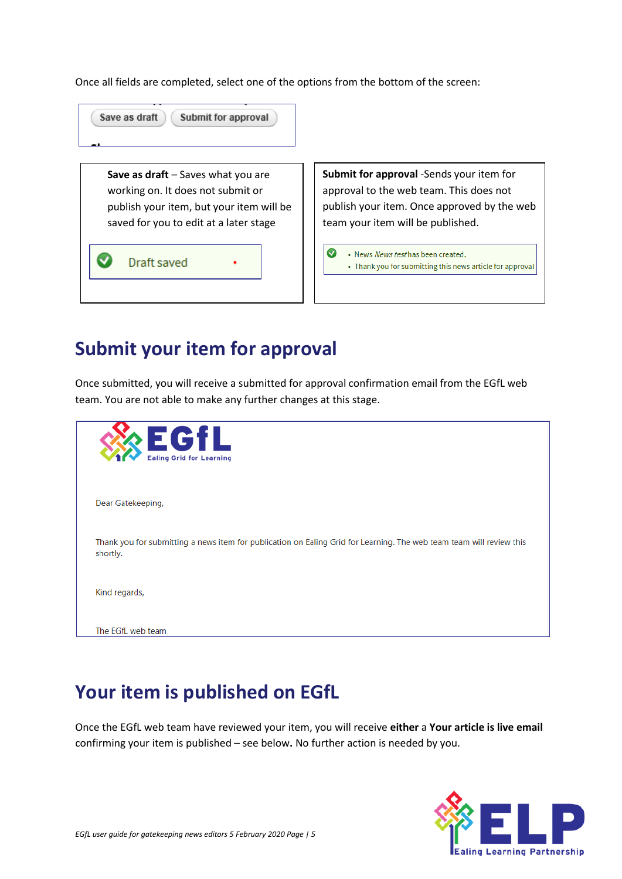Once all fields are completed, select one of the options from the bottom of the screen:

| Save as draft<br>Submit for approval                                                                                                                          |                                                                                                                                                                         |
|---------------------------------------------------------------------------------------------------------------------------------------------------------------|-------------------------------------------------------------------------------------------------------------------------------------------------------------------------|
| Save as draft - Saves what you are<br>working on. It does not submit or<br>publish your item, but your item will be<br>saved for you to edit at a later stage | Submit for approval -Sends your item for<br>approval to the web team. This does not<br>publish your item. Once approved by the web<br>team your item will be published. |
| Draft saved                                                                                                                                                   | $\overline{\bm{\omega}}$<br>• News News test has been created.<br>• Thank you for submitting this news article for approval                                             |

## <span id="page-4-0"></span>**Submit your item for approval**

Once submitted, you will receive a submitted for approval confirmation email from the EGfL web team. You are not able to make any further changes at this stage.

| <b>EGfL</b><br><b>Ealing Grid for Learning</b>                                                                                   |  |
|----------------------------------------------------------------------------------------------------------------------------------|--|
| Dear Gatekeeping,                                                                                                                |  |
| Thank you for submitting a news item for publication on Ealing Grid for Learning. The web team team will review this<br>shortly. |  |
| Kind regards,                                                                                                                    |  |
| The EGfL web team                                                                                                                |  |

## <span id="page-4-1"></span>**Your item is published on EGfL**

Once the EGfL web team have reviewed your item, you will receive **either** a **Your article is live email**  confirming your item is published – see below**.** No further action is needed by you.

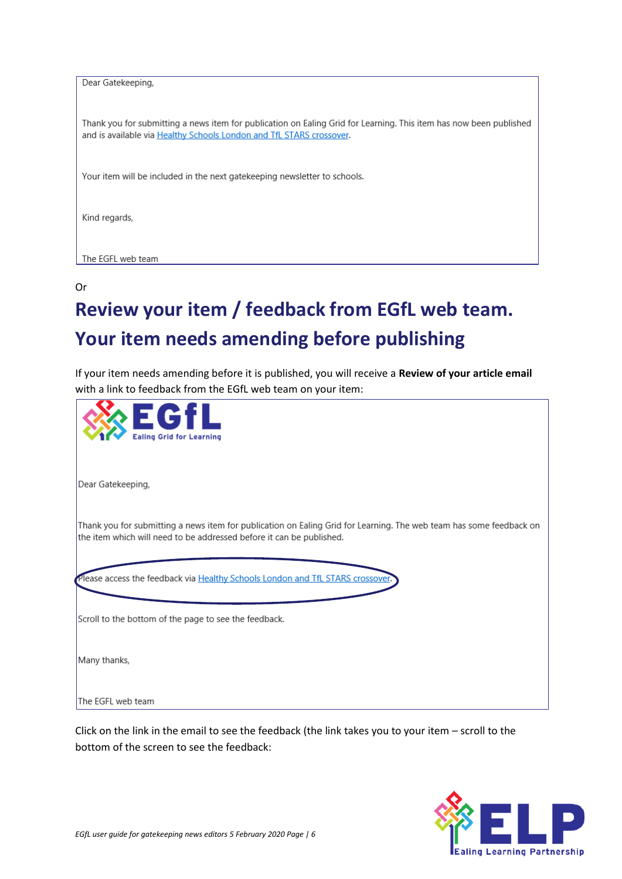| Dear Gatekeeping,                                                                                                                                                                          |
|--------------------------------------------------------------------------------------------------------------------------------------------------------------------------------------------|
| Thank you for submitting a news item for publication on Ealing Grid for Learning. This item has now been published<br>and is available via Healthy Schools London and TfL STARS crossover. |
| Your item will be included in the next gatekeeping newsletter to schools.                                                                                                                  |
| Kind regards,                                                                                                                                                                              |
| The EGFL web team                                                                                                                                                                          |

#### Or

# **Review your item / feedback from EGfL web team. Your item needs amending before publishing**

If your item needs amending before it is published, you will receive a **Review of your article email** with a link to feedback from the EGfL web team on your item:

| <b>EGfL</b><br><b>Ealing Grid for Learning</b>                                                                                                                                              |
|---------------------------------------------------------------------------------------------------------------------------------------------------------------------------------------------|
| Dear Gatekeeping,                                                                                                                                                                           |
| Thank you for submitting a news item for publication on Ealing Grid for Learning. The web team has some feedback on<br>the item which will need to be addressed before it can be published. |
| Please access the feedback via Healthy Schools London and TfL STARS crossover.                                                                                                              |
| Scroll to the bottom of the page to see the feedback.                                                                                                                                       |
| Many thanks,                                                                                                                                                                                |
| The EGFL web team                                                                                                                                                                           |

Click on the link in the email to see the feedback (the link takes you to your item – scroll to the bottom of the screen to see the feedback:

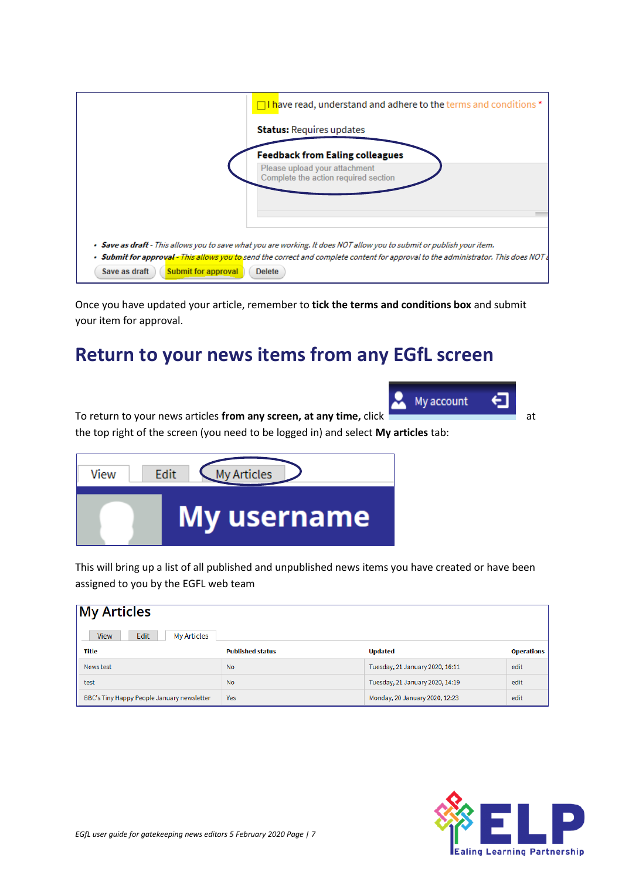| $\Box$ have read, understand and adhere to the terms and conditions $^*$                                                                                                                                                                                                                                                     |
|------------------------------------------------------------------------------------------------------------------------------------------------------------------------------------------------------------------------------------------------------------------------------------------------------------------------------|
| <b>Status: Requires updates</b>                                                                                                                                                                                                                                                                                              |
| <b>Feedback from Ealing colleagues</b>                                                                                                                                                                                                                                                                                       |
| Please upload your attachment<br>Complete the action required section                                                                                                                                                                                                                                                        |
|                                                                                                                                                                                                                                                                                                                              |
| • Save as draft - This allows you to save what you are working. It does NOT allow you to submit or publish your item.<br>• Submit for approval – This allows you to send the correct and complete content for approval to the administrator. This does NOT a<br>Save as draft<br><b>Submit for approval</b><br><b>Delete</b> |

Once you have updated your article, remember to **tick the terms and conditions box** and submit your item for approval.

### <span id="page-6-0"></span>**Return to your news items from any EGfL screen**

To return to your news articles from any screen, at any time, click **and all any time** at the top right of the screen (you need to be logged in) and select **My articles** tab:



This will bring up a list of all published and unpublished news items you have created or have been assigned to you by the EGFL web team

| <b>My Articles</b>                               |                         |                                 |                   |  |  |
|--------------------------------------------------|-------------------------|---------------------------------|-------------------|--|--|
| <b>Edit</b><br><b>My Articles</b><br><b>View</b> |                         |                                 |                   |  |  |
| Title                                            | <b>Published status</b> | <b>Updated</b>                  | <b>Operations</b> |  |  |
| News test                                        | <b>No</b>               | Tuesday, 21 January 2020, 16:11 | edit              |  |  |
| test                                             | <b>No</b>               | Tuesday, 21 January 2020, 14:19 | edit              |  |  |
| BBC's Tiny Happy People January newsletter       | <b>Yes</b>              | Monday, 20 January 2020, 12:23  | edit              |  |  |



⊖

My account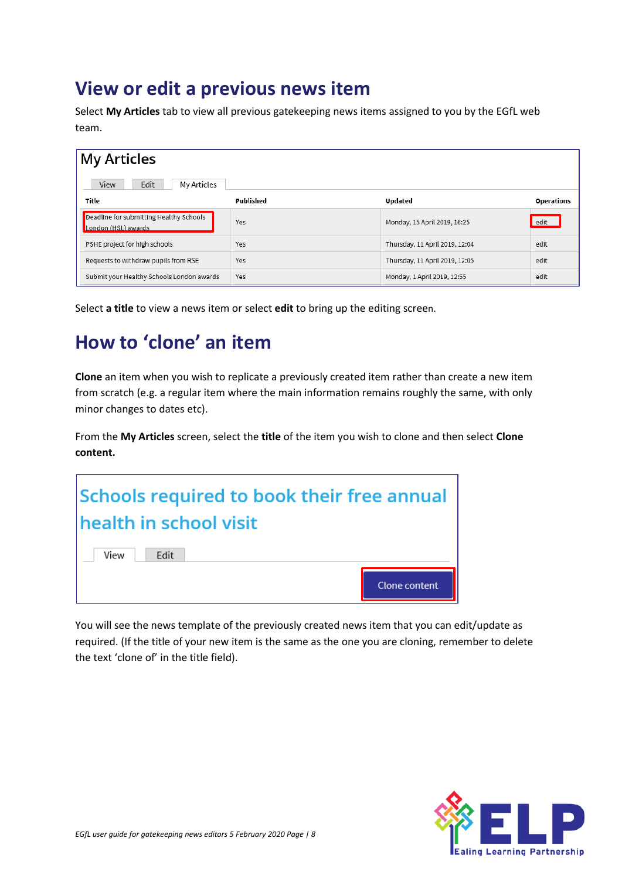#### <span id="page-7-0"></span>**View or edit a previous news item**

Select **My Articles** tab to view all previous gatekeeping news items assigned to you by the EGfL web team.

| <b>My Articles</b>                                             |           |                                |                   |  |
|----------------------------------------------------------------|-----------|--------------------------------|-------------------|--|
| Edit<br>View<br>My Articles                                    |           |                                |                   |  |
| Title                                                          | Published | <b>Updated</b>                 | <b>Operations</b> |  |
| Deadline for submitting Healthy Schools<br>London (HSL) awards | Yes       | Monday, 15 April 2019, 16:25   | edit              |  |
| PSHE project for high schools                                  | Yes       | Thursday, 11 April 2019, 12:04 | edit              |  |
| Requests to withdraw pupils from RSE                           | Yes       | Thursday, 11 April 2019, 12:05 | edit              |  |
| Submit your Healthy Schools London awards                      | Yes       | Monday, 1 April 2019, 12:55    | edit              |  |

Select **a title** to view a news item or select **edit** to bring up the editing screen.

## <span id="page-7-1"></span>**How to 'clone' an item**

**Clone** an item when you wish to replicate a previously created item rather than create a new item from scratch (e.g. a regular item where the main information remains roughly the same, with only minor changes to dates etc).

From the **My Articles** screen, select the **title** of the item you wish to clone and then select **Clone content.**

| Schools required to book their free annual |               |  |
|--------------------------------------------|---------------|--|
| health in school visit                     |               |  |
| View<br>Edit                               |               |  |
|                                            | Clone content |  |

You will see the news template of the previously created news item that you can edit/update as required. (If the title of your new item is the same as the one you are cloning, remember to delete the text 'clone of' in the title field).